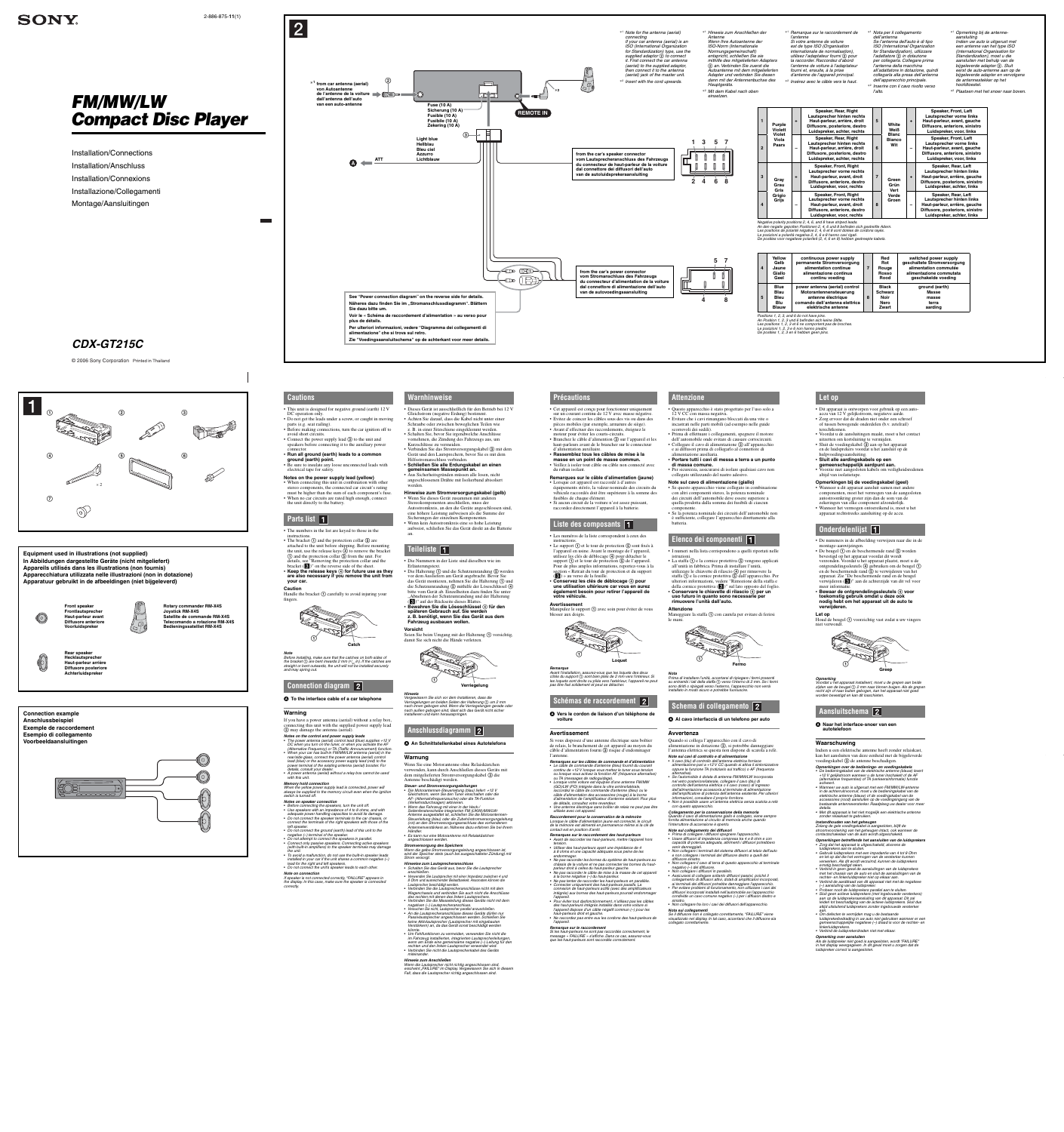**Let op**

terechtkomen

• Dit apparaat is ontworpen voor gebruik op een autoaccu van 12 V gelijkstroom, negatieve aarde. • Zorg ervoor dat de draden niet onder een schroef of tussen bewegende onderdelen (b.v. zetelrail)

• Voordat u de aansluitingen maakt, moet u het contact

uitzetten om kortsluiting te vermijden. • Sluit de voedingskabel  $\ddot{\textcirc}$  aan op het apparaat en de luidsprekers voordat u het aansluit op de

hulpvoedingsaansluiting. • **Sluit alle aardingskabels op een gemeenschappelijk aardpunt aan.**

• Voorzie niet aangesloten kabels om veiligheidsredenen

altijd van isolatietape.

**Opmerkingen bij de voedingskabel (geel)** • Wanneer u dit apparaat aansluit samen met andere componenten, moet het vermogen van de aangesloten autostroomkring groter zijn dan de som van de zekeringen van elke component afzonderlijk. • Wanneer het vermogen ontoereikend is, moet u het apparaat rechtstreeks aansluiting op de accu.

**Onderdelenlijst** 

Indien u een elektrische antenne heeft zonder relaiskast, kan het aansluiten van deze eenheid met de bijgeleverde voedingskabel  $\circled{3}$  de antenne beschadigen.

**Opmerkingen over de bedienings- en voedingskabels<br>• De bedieningskabel van de elektrische antenne (blauw) levert<br>+12 V gelijkstroom wanneer u de tuner inschakelt of de AF<br>(alternatieve frequenties) of TA (verkeersinformat** 

• De nummers in de afbeelding verwijzen naar die in de

montage-aanwijzingen.

• **Bewaar de ontgrendelingssleutels voor toekomstig gebruik omdat u deze ook nodig hebt om het apparaat uit de auto te verwijderen.**

**Let op**  $\Xi$  Houd de beugel  $\Omega$  voorzichtig vast zodat u uw vingers niet verwondt.



*Opmerking Voordat u het apparaat installeert, moet u de grepen aan beide zijden van de beugel 2 mm naar binnen buigen. Als de grepen recht zijn of naar buiten gebogen, kan het apparaat niet goed worden bevestigd en kan dit losschieten.*

#### **Aansluitschema**

 **Naar het interface-snoer van een autotelefoon**

#### **Waarschuwing**

*• Wanneer uw auto is uitgerust met een FM/MW/LW-antenne in de achterruit/voorruit, moet u de bedieningskabel van de elektrische antenne (blauw) of de voedingskabel van de accessoires (rood) aansluiten op de voedingsingang van de bestaande antenneversterker. Raadpleeg uw dealer voor meer* 

*details. • Met dit apparaat is het niet mogelijk een elektrische antenne zonder relaiskast te gebruiken.*

*Instandhouden van het geheugen Zolang de gele voedingskabel is aangesloten, blijft de stroomvoorziening van het geheugen intact, ook wanneer de contactschakelaar van de auto wordt uitgeschakeld.*

section is a Retrait du tour de prote  $\left(\bigotimes$ ) » au verso de la feuille. • **Conservez les clés de déblocage pour une utilisation ultérieure car vous en aurez également besoin pour retirer l'appareil de votre véhicule.**

*Opmerkingen betreffende het aansluiten van de luidsprekers • Zorg dat het apparaat is uitgeschakeld, alvorens de* 

luidsprekers aan te sluiten.<br>• Gebruik luidsprekers met een impedantie van 4 tot 8 Ohm<br>en let op dat die het vermogen van de versterker kunnen<br>verwerken. Als dit wordt verzuimd, kunnen de luidsprekers

Si vous disposez d'une antenne électrique sans boîtier de relais, le branchement de cet appareil au moyen du câble d'alimentation fourni 3 risque d'endommager **Remarques sur les câbles de commande et d'alimentation**<br>• Le câble de commande d'antenne (bleu) fournit du courant<br>continu de +12 V lorsque vous mettez le tuner sous tension<br>ou lorsque vous activez la fonction AF (fréquen (GO)/LW (PO) intégrée dans la vitre arrière/latérale,<br>raccordez le câble de commande d'antenne (bleu) ou le<br>câble d'alimentation des accessoires (rouge) à la borne<br>d'alimentation de l'amplificateur d'antenne existant. Pour *de détails, consultez votre revendeur.* • *Une antenne électrique sans boîtier de relais ne peut pas être utilisée avec cet appareil. Raccordement pour la conservation de la mémoire Lorsque le câble d'alimentation jaune est connecté, le circuit de la mémoire est alimenté en permanence même si la clé de*  Quando si collega l'apparecchio con il cavo di alimentazione in dotazione  $(3)$ , si potrebbe danneggiare l'antenna elettrica se questa non dispone di scatola a relè. *Note sui cavi di controllo e di alimentazione* • *Il cavo (blu) di controllo dell'antenna elettrica fornisce alimentazione pari a +12 V CC quando si attiva il sintonizzatore oppure la funzione TA (notiziario sul traffi co) o AF (frequenza alternativa).* • *Se l'automobile è dotata di antenna FM/MW/LW incorporata nel vetro posteriore/laterale, collegare il cavo (blu) di controllo dell'antenna elettrica o il cavo (rosso) di ingresso dell'alimentazione accessoria al terminale di alimentazione dell'amplifi catore di potenza dell'antenna esistente. Per ulteriori informazioni, consultare il proprio fornitore.* • *Non è possibile usare un'antenna elettrica senza scatola a relè con questo apparecchio. Collegamento per la conservazione della memoria Quando il cavo di alimentazione giallo è collegato, viene sempre fornita alimentazione al circuito di memoria anche quando l'interruttore di accensione è spento.* **Note sul collegamento dei diffusori**<br>• Prima di collegare i diffusori spegnere l'apparecchio.<br>• Usare diffusori di impedenza compresa tra 4 e 8 ohm e con<br>• capacità di potenza adeguata, altrimenti i diffusori potrebbero

> *ernstig beschadigd raken. • Verbind in geen geval de aansluitingen van de luidsprekers met het chassis van de auto en sluit de aansluitingen van de*

> rechter- en linkerluidspreker niet op elkaar aan.<br>• Verbind de aarddraad van dit apparaat niet met de negatieve<br>• )- aansluiting van de luidspreker.<br>• Probeer nooit de luidsprekers parallel aan te sluiten.<br>• Sluit geen act

*leiden tot beschadiging van de actieve luidsprekers. Sluit dus altijd uitsluitend luidsprekers zonder ingebouwde versterker* 

*aan. • Om defecten te vermijden mag u de bestaande luidsprekerbedrading in uw auto niet gebruiken wanneer er een gemeenschappelijke negatieve (–) draad is voor de rechter- en linkerluidsprekers. • Verbind de luidsprekerdraden niet met elkaar.*

*Opmerking over aansluiten*

*Remarque sur le raccordement Si les haut-parleurs ne sont pas raccordés correctement, le message « FAILURE » s'affi che. Dans ce cas, assurez-vous que les haut-parleurs sont raccordés corre* 

*Als de luidspreker niet goed is aangesloten, wordt "FAILURE" in het display weergegeven. In dit geval moet u zorgen dat de luidspreker correct is aangesloten.*

en de beschermende rand **(5**) te verwijderen van het apparaat. Zie "De beschermende rand en de beugel verwijderen (<sup>3</sup>)" aan de achterzijde van dit vel voor meer inform

#### **Précautions**

• Cet appareil est conçu pour fonctionner uniquement sur un courant continu de 12 V avec masse négative. • Evitez de coincer les câbles sous des vis ou dans des pièces mobiles (par exemple, armature de siège). • Avant d'effectuer des raccordements, éteignez le moteur pour éviter les courts-circuits. • Branchez le câble d'alimention **3** sur l'appareil et les haut-parleurs avant de le brancher sur le connecteur d'alimentation auxiliaire.

• Verbinden Sie das Stromversorgungskabel ③ mit dem Gerät und den Lautsprechern, bevor Sie es mit dem nschluss verbinden • **Schließen Sie alle Erdungskabel an einen gemeinsamen Massepunkt an.** • Aus Sicherheitsgründen müssen alle losen, nicht

• **Rassemblez tous les câbles de mise à la masse en un point de masse commun.** • Veillez à isoler tout câble ou câble non connecté avec du ruban isolant.

• Die Nummern in der Liste sind dieselben wie im Erläuterungstext. • Die Halterung ① und die Schutzumrandung ⑤ werden vor dem Ausliefern am Gerät angebracht. Bevor Sie

das Gerät montieren, nehmen Sie die Halterung ① und

**Remarques sur le câble d'alimentation (jaune)** • Lorsque cet appareil est raccordé à d'autres équipements stéréo, la valeur nominale des circuits du véhicule raccordés doit être supérieure à la somme des fusibles de chaque élément. • Si aucun circuit de la voiture n'est assez puissant, raccordez directement l'appareil à la batterie.

### **Liste des composants**

 **An Schnittstellenkabel eines Autotelefons Notes on the control and power supply leads**<br>• The power antenna (aerial) control lead (blue) supplies +12 V<br>DC when you turn on the tuner, or when you activate the AF<br>- (Alternative Frequency) or TA (Traffic Announcement

• Les numéros de la liste correspondent à ceux des instructions. • Le support  $\Theta$  et le tour de protection  $\Theta$  sont fixés à l'appareil en usine. Avant le montage de l'appareil, utilisez les clés de déblocage  $\overline{4}$  pour détacher le support  $\Theta$  et le tour de protection  $\Theta$  de l'appareil. Pour de plus amples informations, reportez-vous à la

**Steuer- und Stromversorgungsleitungen<br>• Die Motorantennen-Steuerleitung (blau) liefert +12 V<br>• Gleichstrom, wenn Sie den Tuner einschalten oder die<br>• AF- (Alternativfrequenzsuche) oder die TA-Funktion** *(Verkehrsdurchsagen) aktivieren.* • Wenn das Fahrzeug mit einer in der Heck-/<br>Seitenfensterscheibe integrierten FM (UKW)/MW/LW-<br>Antenne ausgestattet ist, schließen Sie die Motorantennen-<br>Steuerleitung (blau) oder die Zubehörstromversorgungsleitung<br>(rot) an *Händler.*

**•** Es kann nur eine Motorantenne mit Relaiskästche *angeschlossen werden.*

**Avertissement** Manipulez le support  $\Theta$  avec soin pour éviter de vous blesser aux doigts.

*Remarque Avant l'installation, assurez-vous que les loquets des deux côtés du support sont bien pliés de 2 mm vers l'intérieur. Si les loquets sont droits ou pliés vers l'extérieur, l'appareil ne peut pas être fi xé solidement et peut se détacher.*

### **Schémas de raccordement**

 **Vers le cordon de liaison d'un téléphone de** 

**voiture**

*könnte.* • *Um Fehlfunktionen zu vermeiden, verwenden Sie nicht die*  im Fahrzeug installierten, integrierten Lautsprecherleitungen,<br>wenn am Ende eine gemeinsame negative (→) Leitung für den<br>rechten und den linken Lautsprecher verwendet wird.<br>• Verbinden Sie nicht die Lautsprecherkabel des

# **Avertissement**

l'antenne.

# *ou TA (messages de radioguidage).* • *Lorsque votre voiture est équipée d'une antenne FM/MW*

• I numeri nella lista corrispondono a quelli riportati nelle istruzioni. • La staffa  $\Theta$  e la cornice protettiva  $\Theta$  vengono applicati

• De beugel  $\bigcirc$  en de beschermende rand  $\bigcirc$  worden bevestigd op het apparaat voordat dit wordt verzonden. Voordat u het apparaat plaatst, moet u de ontgrendelingssleutels  $\overline{4}$  gebruiken om de beugel  $\overline{1}$ 

utilizzare le chiavette di rilascio  $\Omega$  per rimuovere la staffa  $\overline{(\cdot)}$  e la cornice protettiva  $\overline{(\cdot)}$  dall'apparecchio. Per ulteriori informazioni, vedere "Rimozione della staffa e della cornice protettiva (**3**)" sul lato opposto del foglio.<br>• **Conservare le chiavette di rilascio 4**) per un **uso futuro in quanto sono necessarie per rimuovere l'unità dall'auto.**

**Attenzione** Maneggiare la staffa  $\odot$  con cautela per evitare di ferirsi

*contact est en position d'arrêt. Remarques sur le raccordement des haut-parleurs*

• *Avant de raccorder les haut-parleurs, mettre l'appareil hors* 

*tension.* • *Utiliser des haut-parleurs ayant une impédance de 4* 

*à 8 ohms et une capacité adéquate sous peine de les endommager.* • *Ne pas raccorder les bornes du système de haut-parleurs au* 

*châssis de la voiture et ne pas connecter les bornes du haut-parleur droit à celles du haut-parleur gauche.* • *Ne pas raccorder le câble de mise à la masse de cet appareil* 

*connexion de haut-parleurs actifs (avec des amplificateurs<br>intégrés) aux bornes des haut-parleurs pourrait endommager* 

*à la borne négative (–) du haut-parleur. • Ne pas tenter de raccorder les haut-parleurs en parallèle. • Connecter uniquement des haut-parleurs passifs. La* 

*l'appareil.* • *Pour éviter tout dysfonctionnement, n'utilisez pas les câbles des haut-parleurs intégrés installés dans votre voiture si l'appareil dispose d'un câble négatif commun (–) pour les* 

# venir danneggiati.<br>• Non collegare i terminali del sistema diffusori al telaio dell'auto<br>• e non collegare i terminali del diffusore destro a quelli del<br>• Non collegare il cavo di terra di questo apparecchio al terminale<br>• • Non collegare i diffusori in parallelo.<br>• Assicurarsi di collegare soltanto diffusori passivi, poiché il<br>collegamento di diffusori attivi, dotati di amplificatori incorporati,<br>ai terminali dei diffusori potrebbe danneggi

*haut-parleurs droit et gauche.* • *Ne raccordez pas entre eux les cordons des haut-parleurs de* 

*l'appareil.*

**Notes on the power supply lead (yellow)** • When connecting this unit in combination with other stereo components, the connected car circuit's rating must be higher than the sum of each component's fuse. • When no car circuits are rated high enough, connect

• The bracket  $\odot$  and the protection collar  $\odot$  are attached to the unit before shipping. Before mounting the unit, use the release keys  $\ddot{q}$  to remove the bracket  $\circled{1}$  and the protection collar  $\circled{1}$  from the unit. For details, see "Removing the protection collar and the bracket  $(\epsilon)$ " on the reverse side of the sheet. • Keep the release keys **4** for future use as they **are also necessary if you remove the unit from** 

angeschlossenen Drähte mit Isolierband abisoliert werden. **Hinweise zum Stromversorgungskabel (gelb)** • Wenn Sie dieses Gerät zusammen mit anderen Stereokomponenten anschließen, muss der Autostromkreis, an den die Geräte angeschlossen sind,

eine höhere Leistung aufweisen als die Summe der Sicherungen der einzelnen Komponenten. • Wenn kein Autostromkreis eine so hohe Leistung aufweist, schließen Sie das Gerät direkt an die Batterie

an.

# **Teileliste**

die Schutzumrandung ⑤ mithilfe der Löseschlüssel ④<br>bitte vom Gerät ab. Einzelheiten dazu finden Sie unter Abnehmen der Schutzumrandung und der Halterung (8)<sup>\*</sup> auf der Rückseite dieses Blattes.<br>• Bewahren Sie die Löseschlüssel 4 für den **späteren Gebrauch auf. Sie werden z. B. benötigt, wenn Sie das Gerät aus dem Fahrzeug ausbauen wollen. Vorsicht** Seien Sie beim Umgang mit der Halterung  $\textcircled{1}$  vorsichtig, damit Sie sich nicht die Hände verletzen. *Hinweis Vergewissern Sie sich vor dem Installieren, dass die*  Verriegelungen an beiden Seiten der Halterung ① um 2 mm<br>nach innen gebogen sind. Wenn die Verriegelungen gerade oder<br>nach außen gebogen sind, lässt sich das Gerät nicht sicher<br>installieren und kann herausspringen. **Anschlussdiagramm**  ➀ **Verriegelung** Handle the bracket  $\odot$  carefully to avoid injuring your **Note**<br>Before installing, make sure that the catches on both sides of<br>the bracket ① are bent inwards 2 mm ( $\frac{\partial}{\partial \omega}$  in). If the catches are<br>straight or bent outwards, the unit will not be installed securely **Connection diagram** 2  $\bullet$  To the interface cable of a car telephone If you have a power antenna (aerial) without a relay box, connecting this unit with the supplied power supply lead (3) may damage the antenna (aerial). **Catch**

> **Warnung** Wenn Sie eine Motorantenne ohne Relaiskästchen verwenden, kann durch Anschließen dieses Geräts mit dem mitgelieferten Stromversorgungskabel 3 die Antenne beschädigt werden.

*Stromversorgung des Speichers Wenn die gelbe Stromversorgungsleitung angeschlossen ist, wird der Speicher stets (auch bei ausgeschalteter Zündung) mit Strom versorgt.*

*Hinweise zum Lautsprecheranschluss* • *Schalten Sie das Gerät aus, bevor Sie die Lautsprecher* 

*anschließen.* • *Verwenden Sie Lautsprecher mit einer Impedanz zwischen 4 und 8 Ohm und ausreichender Belastbarkeit. Ansonsten können die Lautsprecher beschädigt werden.*

• *Verbinden Sie die Lautsprecheranschlüsse nicht mit dem Wagenchassis und verbinden Sie auch nicht die Anschlüsse des rechten mit denen des linken Lautsprechers.* • *Verbinden Sie die Masseleitung dieses Geräts nicht mit dem negativen (–) Lautsprecheranschluss.* • *Versuchen Sie nicht, Lautsprecher parallel anzuschließen.* • *An die Lautsprecheranschlüsse dieses Geräts dürfen nur Passivlautsprecher angeschlossen werden. Schließen Sie keine Aktivlautsprecher (Lautsprecher mit eingebauten Verstärkern) an, da das Gerät sonst beschädigt werden* 

*miteinander.*

*Hinweis zum Anschließen Wenn die Lautsprecher nicht richtig angeschlossen sind, erscheint "FAILURE" im Display. Vergewissern Sie sich in diesem Fall, dass die Lautsprecher richtig angeschlossen sind.* **Attenzione**

#### **Warnhinweise** • Dieses Gerät ist ausschließlich für den Betrieb bei 12 V Gleichstrom (negative Erdung) bestimmt. • Achten Sie darauf, dass die Kabel nicht unter einer • This unit is designed for negative ground (earth) 12 V • Do not get the leads under a screw, or caught in moving

Schraube oder zwischen beweglichen Teilen wie z. B. in einer Sitzschiene eingeklemmt werden. • Schalten Sie, bevor Sie irgendwelche Anschlüsse vornehmen, die Zündung des Fahrzeugs aus, um Kurzschlüsse zu vermeiden. • Before making connections, turn the car ignition off to • Connect the power supply lead **3** to the unit and speakers before connecting it to the auxiliary power connector. • **Run all ground (earth) leads to a common** 

• Questo apparecchio è stato progettato per l'uso solo a 12 V CC con massa negativa. • Evitare che i cavi rimangano bloccati da una vite o incastrati nelle parti mobili (ad esempio nelle guide scorrevoli dei sedili). • Prima di effettuare i collegamenti, spegnere il motore dell'automobile onde evitare di causare cortocircuiti. • Collegare il cavo di alimentazione 3 all'apparecchio e ai diffusori prima di collegarlo al connettore di alimentazione ausiliaria • **Portare tutti i cavi di messa a terra a un punto di massa comune.** • Per sicurezza, assicurarsi di isolare qualsiasi cavo non

collegato utilizzando del nastro adesivo. **Note sul cavo di alimentazione (giallo)** • Se questo apparecchio viene collegato in combinazione con altri componenti stereo, la potenza nominale dei circuiti dell'automobile deve essere superiore a quella prodotta dalla somma dei fusibili di ciascun componente.

• Se la potenza nominale dei circuiti dell'automobile non è sufficiente, collegare l'apparecchio direttamente alla batteria.

#### **Elenco dei componenti**

all'unità in fabbrica. Prima di installare l'unità,

le mani.

**Schema di collegamento Al cavo interfaccia di un telefono per auto**

**Avvertenza**



• *Per evitare problemi di funzionamento, non utilizzare i cavi dei diffusori incorporati installati nell'automobile se l'apparecchio condivide un cavo comune negativo (–) per i diffusori destro e sinistro.* • *Non collegare fra loro i cavi dei diffusori dell'apparecchio.*

*Nota sui collegamenti Se il diffusore non è collegato correttamente, "FAILURE" viene visualizzato nel display. In tal caso, accertarsi che il diffusore sia* 

*collegato correttamente.*

**Greep**



**Cautions**

DC operation only.

parts (e.g. seat railing).

avoid short circuits.

**ground (earth) point.**

• Be sure to insulate any loose unconnected leads with

electrical tape for safety.

the unit directly to the battery.

➀

**Parts list** 

• The numbers in the list are keyed to those in the

instructions.

**your car.**

*rear/side glass, connect the power antenna (aerial) control lead (blue) or the accessory power supply lead (red) to the power terminal of the existing antenna (aerial) booster. For details, consult your dealer.* • *A power antenna (aerial) without a relay box cannot be used with this unit.*

*When the yellow power supply lead is connected, power will always be supplied to the memory circuit even when the ignition* 

*switch is turned off.*

• *Before connecting the speakers, turn the unit off.* • *Use speakers with an impedance of 4 to 8 ohms, and with adequate power handling capacities to avoid its damage.*

*connect the terminals of the right speakers with those of the left speaker.* • *Do not connect the ground (earth) lead of this unit to the* 

*negative (–) terminal of the speaker.* • *Do not attempt to connect the speakers in parallel.*

• *Connect only passive speakers. Connecting active speakers (with built-in amplifi ers) to the speaker terminals may damage the unit.* • *To avoid a malfunction, do not use the built-in speaker leads installed in your car if the unit shares a common negative (–) lead for the right and left speakers.* • *Do not connect the unit's speaker leads to each other.*



*Note on connection If speaker is not connected correctly, "FAILURE" appears in the display. In this case, make sure the speaker is connected correctly.*





Installazione/Collegamenti

Montage/Aansluitingen

# *FM/MW/LW Compact Disc Player*

© 2006 Sony Corporation Printed in Thailand

**SONY** 

### 2-886-875-**11**(1)

**Equipment used in illustrations (not supplied) In Abbildungen dargestellte Geräte (nicht mitgeliefert) Appareils utilisés dans les illustrations (non fournis)**